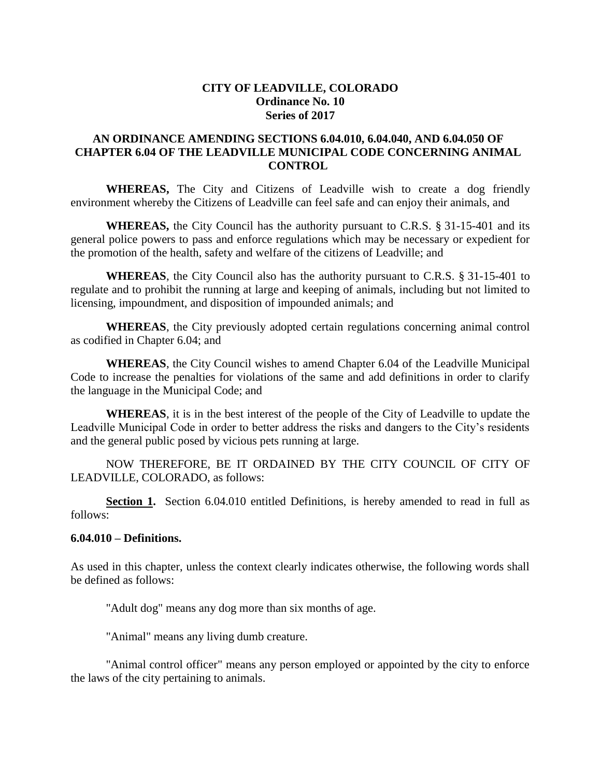# **CITY OF LEADVILLE, COLORADO Ordinance No. 10 Series of 2017**

# **AN ORDINANCE AMENDING SECTIONS 6.04.010, 6.04.040, AND 6.04.050 OF CHAPTER 6.04 OF THE LEADVILLE MUNICIPAL CODE CONCERNING ANIMAL CONTROL**

WHEREAS, The City and Citizens of Leadville wish to create a dog friendly environment whereby the Citizens of Leadville can feel safe and can enjoy their animals, and

**WHEREAS,** the City Council has the authority pursuant to C.R.S. § 31-15-401 and its general police powers to pass and enforce regulations which may be necessary or expedient for the promotion of the health, safety and welfare of the citizens of Leadville; and

**WHEREAS**, the City Council also has the authority pursuant to C.R.S. § 31-15-401 to regulate and to prohibit the running at large and keeping of animals, including but not limited to licensing, impoundment, and disposition of impounded animals; and

**WHEREAS**, the City previously adopted certain regulations concerning animal control as codified in Chapter 6.04; and

**WHEREAS**, the City Council wishes to amend Chapter 6.04 of the Leadville Municipal Code to increase the penalties for violations of the same and add definitions in order to clarify the language in the Municipal Code; and

**WHEREAS**, it is in the best interest of the people of the City of Leadville to update the Leadville Municipal Code in order to better address the risks and dangers to the City's residents and the general public posed by vicious pets running at large.

NOW THEREFORE, BE IT ORDAINED BY THE CITY COUNCIL OF CITY OF LEADVILLE, COLORADO, as follows:

**Section 1.** Section 6.04.010 entitled Definitions, is hereby amended to read in full as follows:

#### **6.04.010 – Definitions.**

As used in this chapter, unless the context clearly indicates otherwise, the following words shall be defined as follows:

"Adult dog" means any dog more than six months of age.

"Animal" means any living dumb creature.

"Animal control officer" means any person employed or appointed by the city to enforce the laws of the city pertaining to animals.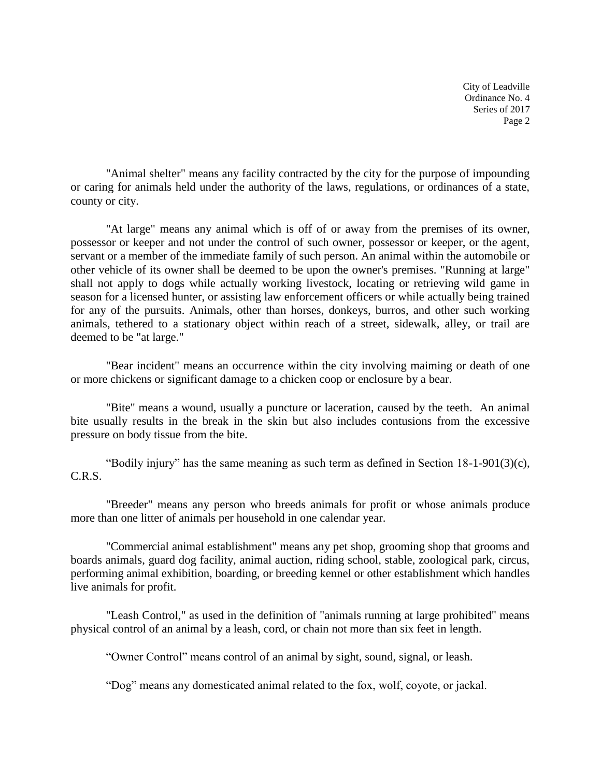"Animal shelter" means any facility contracted by the city for the purpose of impounding or caring for animals held under the authority of the laws, regulations, or ordinances of a state, county or city.

"At large" means any animal which is off of or away from the premises of its owner, possessor or keeper and not under the control of such owner, possessor or keeper, or the agent, servant or a member of the immediate family of such person. An animal within the automobile or other vehicle of its owner shall be deemed to be upon the owner's premises. "Running at large" shall not apply to dogs while actually working livestock, locating or retrieving wild game in season for a licensed hunter, or assisting law enforcement officers or while actually being trained for any of the pursuits. Animals, other than horses, donkeys, burros, and other such working animals, tethered to a stationary object within reach of a street, sidewalk, alley, or trail are deemed to be "at large."

"Bear incident" means an occurrence within the city involving maiming or death of one or more chickens or significant damage to a chicken coop or enclosure by a bear.

"Bite" means a wound, usually a puncture or laceration, caused by the teeth. An animal bite usually results in the break in the skin but also includes contusions from the excessive pressure on body tissue from the bite.

"Bodily injury" has the same meaning as such term as defined in Section 18-1-901(3)(c), C.R.S.

"Breeder" means any person who breeds animals for profit or whose animals produce more than one litter of animals per household in one calendar year.

"Commercial animal establishment" means any pet shop, grooming shop that grooms and boards animals, guard dog facility, animal auction, riding school, stable, zoological park, circus, performing animal exhibition, boarding, or breeding kennel or other establishment which handles live animals for profit.

"Leash Control," as used in the definition of "animals running at large prohibited" means physical control of an animal by a leash, cord, or chain not more than six feet in length.

"Owner Control" means control of an animal by sight, sound, signal, or leash.

"Dog" means any domesticated animal related to the fox, wolf, coyote, or jackal.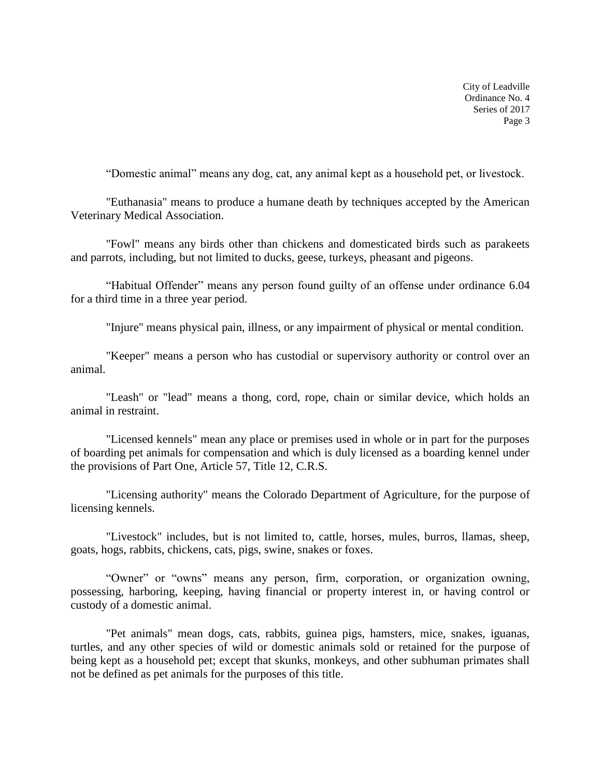"Domestic animal" means any dog, cat, any animal kept as a household pet, or livestock.

"Euthanasia" means to produce a humane death by techniques accepted by the American Veterinary Medical Association.

"Fowl" means any birds other than chickens and domesticated birds such as parakeets and parrots, including, but not limited to ducks, geese, turkeys, pheasant and pigeons.

"Habitual Offender" means any person found guilty of an offense under ordinance 6.04 for a third time in a three year period.

"Injure" means physical pain, illness, or any impairment of physical or mental condition.

"Keeper" means a person who has custodial or supervisory authority or control over an animal.

"Leash" or "lead" means a thong, cord, rope, chain or similar device, which holds an animal in restraint.

"Licensed kennels" mean any place or premises used in whole or in part for the purposes of boarding pet animals for compensation and which is duly licensed as a boarding kennel under the provisions of Part One, Article 57, Title 12, C.R.S.

"Licensing authority" means the Colorado Department of Agriculture, for the purpose of licensing kennels.

"Livestock" includes, but is not limited to, cattle, horses, mules, burros, llamas, sheep, goats, hogs, rabbits, chickens, cats, pigs, swine, snakes or foxes.

"Owner" or "owns" means any person, firm, corporation, or organization owning, possessing, harboring, keeping, having financial or property interest in, or having control or custody of a domestic animal.

"Pet animals" mean dogs, cats, rabbits, guinea pigs, hamsters, mice, snakes, iguanas, turtles, and any other species of wild or domestic animals sold or retained for the purpose of being kept as a household pet; except that skunks, monkeys, and other subhuman primates shall not be defined as pet animals for the purposes of this title.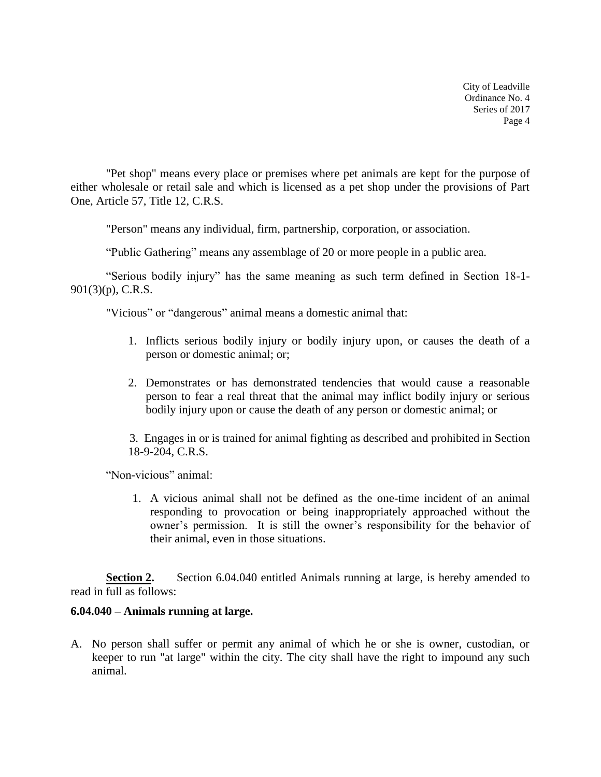"Pet shop" means every place or premises where pet animals are kept for the purpose of either wholesale or retail sale and which is licensed as a pet shop under the provisions of Part One, Article 57, Title 12, C.R.S.

"Person" means any individual, firm, partnership, corporation, or association.

"Public Gathering" means any assemblage of 20 or more people in a public area.

"Serious bodily injury" has the same meaning as such term defined in Section 18-1- 901(3)(p), C.R.S.

"Vicious" or "dangerous" animal means a domestic animal that:

- 1. Inflicts serious bodily injury or bodily injury upon, or causes the death of a person or domestic animal; or;
- 2. Demonstrates or has demonstrated tendencies that would cause a reasonable person to fear a real threat that the animal may inflict bodily injury or serious bodily injury upon or cause the death of any person or domestic animal; or

3. Engages in or is trained for animal fighting as described and prohibited in Section 18-9-204, C.R.S.

"Non-vicious" animal:

1. A vicious animal shall not be defined as the one-time incident of an animal responding to provocation or being inappropriately approached without the owner's permission. It is still the owner's responsibility for the behavior of their animal, even in those situations.

**Section 2.** Section 6.04.040 entitled Animals running at large, is hereby amended to read in full as follows:

# **6.04.040 – Animals running at large.**

A. No person shall suffer or permit any animal of which he or she is owner, custodian, or keeper to run "at large" within the city. The city shall have the right to impound any such animal.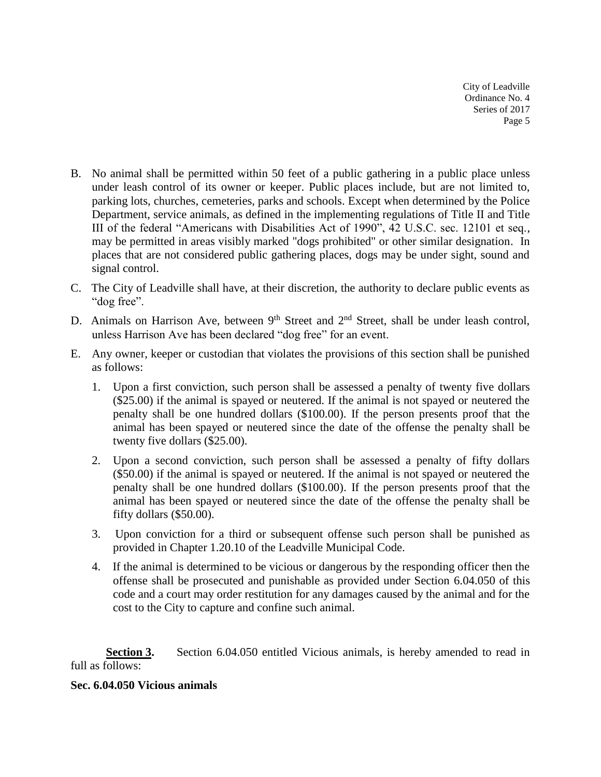- B. No animal shall be permitted within 50 feet of a public gathering in a public place unless under leash control of its owner or keeper. Public places include, but are not limited to, parking lots, churches, cemeteries, parks and schools. Except when determined by the Police Department, service animals, as defined in the implementing regulations of Title II and Title III of the federal "Americans with Disabilities Act of 1990", 42 U.S.C. sec. 12101 et seq., may be permitted in areas visibly marked "dogs prohibited" or other similar designation. In places that are not considered public gathering places, dogs may be under sight, sound and signal control.
- C. The City of Leadville shall have, at their discretion, the authority to declare public events as "dog free".
- D. Animals on Harrison Ave, between  $9<sup>th</sup>$  Street and  $2<sup>nd</sup>$  Street, shall be under leash control, unless Harrison Ave has been declared "dog free" for an event.
- E. Any owner, keeper or custodian that violates the provisions of this section shall be punished as follows:
	- 1. Upon a first conviction, such person shall be assessed a penalty of twenty five dollars (\$25.00) if the animal is spayed or neutered. If the animal is not spayed or neutered the penalty shall be one hundred dollars (\$100.00). If the person presents proof that the animal has been spayed or neutered since the date of the offense the penalty shall be twenty five dollars (\$25.00).
	- 2. Upon a second conviction, such person shall be assessed a penalty of fifty dollars (\$50.00) if the animal is spayed or neutered. If the animal is not spayed or neutered the penalty shall be one hundred dollars (\$100.00). If the person presents proof that the animal has been spayed or neutered since the date of the offense the penalty shall be fifty dollars (\$50.00).
	- 3. Upon conviction for a third or subsequent offense such person shall be punished as provided in Chapter 1.20.10 of the Leadville Municipal Code.
	- 4. If the animal is determined to be vicious or dangerous by the responding officer then the offense shall be prosecuted and punishable as provided under Section 6.04.050 of this code and a court may order restitution for any damages caused by the animal and for the cost to the City to capture and confine such animal.

**Section 3.** Section 6.04.050 entitled Vicious animals, is hereby amended to read in full as follows:

# **Sec. 6.04.050 Vicious animals**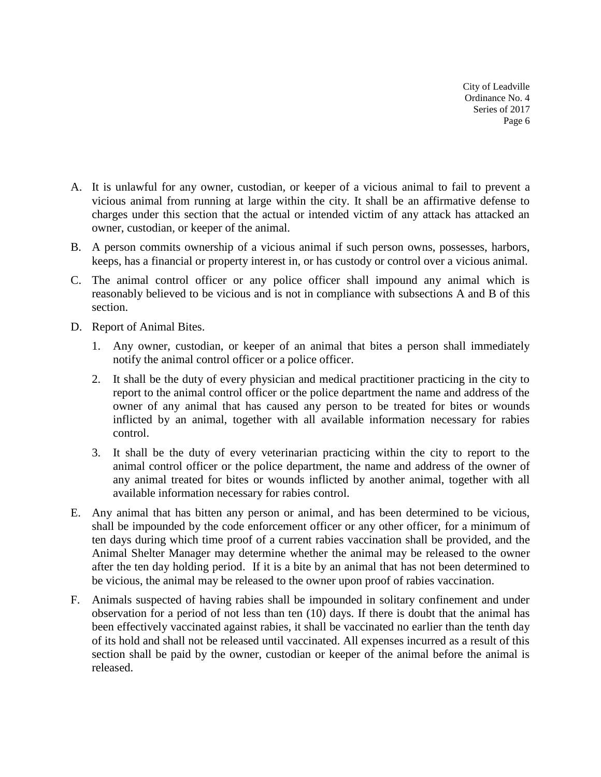- A. It is unlawful for any owner, custodian, or keeper of a vicious animal to fail to prevent a vicious animal from running at large within the city. It shall be an affirmative defense to charges under this section that the actual or intended victim of any attack has attacked an owner, custodian, or keeper of the animal.
- B. A person commits ownership of a vicious animal if such person owns, possesses, harbors, keeps, has a financial or property interest in, or has custody or control over a vicious animal.
- C. The animal control officer or any police officer shall impound any animal which is reasonably believed to be vicious and is not in compliance with subsections A and B of this section.
- D. Report of Animal Bites.
	- 1. Any owner, custodian, or keeper of an animal that bites a person shall immediately notify the animal control officer or a police officer.
	- 2. It shall be the duty of every physician and medical practitioner practicing in the city to report to the animal control officer or the police department the name and address of the owner of any animal that has caused any person to be treated for bites or wounds inflicted by an animal, together with all available information necessary for rabies control.
	- 3. It shall be the duty of every veterinarian practicing within the city to report to the animal control officer or the police department, the name and address of the owner of any animal treated for bites or wounds inflicted by another animal, together with all available information necessary for rabies control.
- E. Any animal that has bitten any person or animal, and has been determined to be vicious, shall be impounded by the code enforcement officer or any other officer, for a minimum of ten days during which time proof of a current rabies vaccination shall be provided, and the Animal Shelter Manager may determine whether the animal may be released to the owner after the ten day holding period. If it is a bite by an animal that has not been determined to be vicious, the animal may be released to the owner upon proof of rabies vaccination.
- F. Animals suspected of having rabies shall be impounded in solitary confinement and under observation for a period of not less than ten (10) days. If there is doubt that the animal has been effectively vaccinated against rabies, it shall be vaccinated no earlier than the tenth day of its hold and shall not be released until vaccinated. All expenses incurred as a result of this section shall be paid by the owner, custodian or keeper of the animal before the animal is released.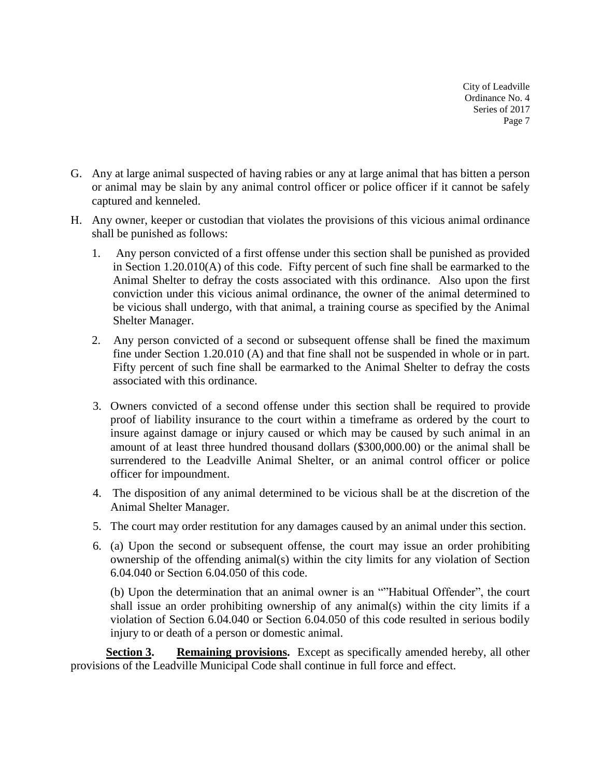- G. Any at large animal suspected of having rabies or any at large animal that has bitten a person or animal may be slain by any animal control officer or police officer if it cannot be safely captured and kenneled.
- H. Any owner, keeper or custodian that violates the provisions of this vicious animal ordinance shall be punished as follows:
	- 1. Any person convicted of a first offense under this section shall be punished as provided in Section 1.20.010(A) of this code. Fifty percent of such fine shall be earmarked to the Animal Shelter to defray the costs associated with this ordinance. Also upon the first conviction under this vicious animal ordinance, the owner of the animal determined to be vicious shall undergo, with that animal, a training course as specified by the Animal Shelter Manager.
	- 2. Any person convicted of a second or subsequent offense shall be fined the maximum fine under Section 1.20.010 (A) and that fine shall not be suspended in whole or in part. Fifty percent of such fine shall be earmarked to the Animal Shelter to defray the costs associated with this ordinance.
	- 3. Owners convicted of a second offense under this section shall be required to provide proof of liability insurance to the court within a timeframe as ordered by the court to insure against damage or injury caused or which may be caused by such animal in an amount of at least three hundred thousand dollars (\$300,000.00) or the animal shall be surrendered to the Leadville Animal Shelter, or an animal control officer or police officer for impoundment.
	- 4. The disposition of any animal determined to be vicious shall be at the discretion of the Animal Shelter Manager.
	- 5. The court may order restitution for any damages caused by an animal under this section.
	- 6. (a) Upon the second or subsequent offense, the court may issue an order prohibiting ownership of the offending animal(s) within the city limits for any violation of Section 6.04.040 or Section 6.04.050 of this code.

(b) Upon the determination that an animal owner is an ""Habitual Offender", the court shall issue an order prohibiting ownership of any animal(s) within the city limits if a violation of Section 6.04.040 or Section 6.04.050 of this code resulted in serious bodily injury to or death of a person or domestic animal.

**Section 3. Remaining provisions.** Except as specifically amended hereby, all other provisions of the Leadville Municipal Code shall continue in full force and effect.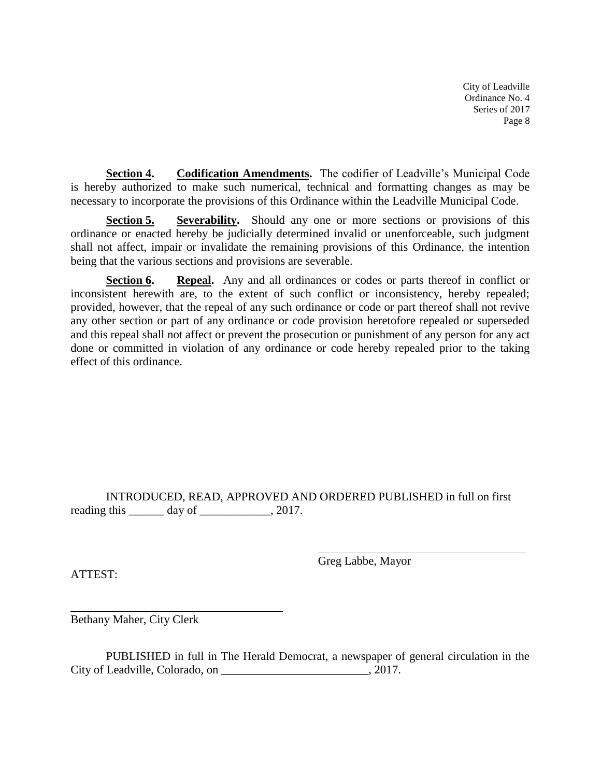**Section 4. Codification Amendments.** The codifier of Leadville's Municipal Code is hereby authorized to make such numerical, technical and formatting changes as may be necessary to incorporate the provisions of this Ordinance within the Leadville Municipal Code.

**Section 5. Severability.** Should any one or more sections or provisions of this ordinance or enacted hereby be judicially determined invalid or unenforceable, such judgment shall not affect, impair or invalidate the remaining provisions of this Ordinance, the intention being that the various sections and provisions are severable.

**Section 6. Repeal.** Any and all ordinances or codes or parts thereof in conflict or inconsistent herewith are, to the extent of such conflict or inconsistency, hereby repealed; provided, however, that the repeal of any such ordinance or code or part thereof shall not revive any other section or part of any ordinance or code provision heretofore repealed or superseded and this repeal shall not affect or prevent the prosecution or punishment of any person for any act done or committed in violation of any ordinance or code hereby repealed prior to the taking effect of this ordinance.

INTRODUCED, READ, APPROVED AND ORDERED PUBLISHED in full on first reading this  $\_\_\_\_$  day of  $\_\_\_\_\_\_$ , 2017.

ATTEST:

Greg Labbe, Mayor

Bethany Maher, City Clerk

PUBLISHED in full in The Herald Democrat, a newspaper of general circulation in the City of Leadville, Colorado, on \_\_\_\_\_\_\_\_\_\_\_\_\_\_\_\_\_\_\_\_\_\_\_\_\_, 2017.